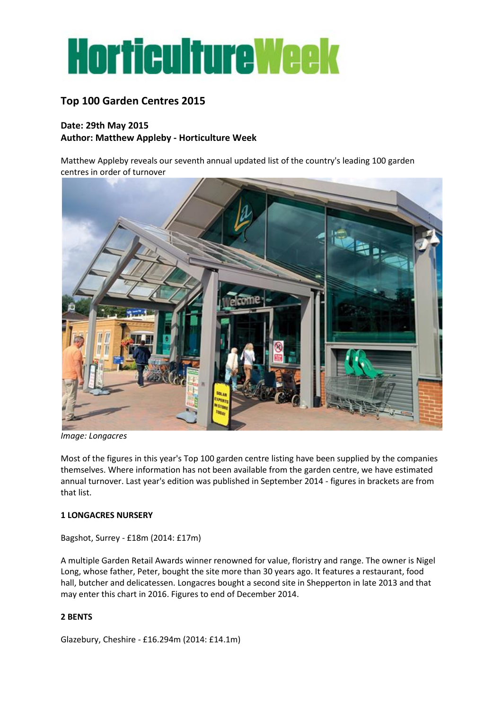

# **Top 100 Garden Centres 2015**

# **Date: 29th May 2015 Author: Matthew Appleby - Horticulture Week**

Matthew Appleby reveals our seventh annual updated list of the country's leading 100 garden centres in order of turnover



*Image: Longacres*

Most of the figures in this year's Top 100 garden centre listing have been supplied by the companies themselves. Where information has not been available from the garden centre, we have estimated annual turnover. Last year's edition was published in September 2014 - figures in brackets are from that list.

#### **1 LONGACRES NURSERY**

Bagshot, Surrey - £18m (2014: £17m)

A multiple Garden Retail Awards winner renowned for value, floristry and range. The owner is Nigel Long, whose father, Peter, bought the site more than 30 years ago. It features a restaurant, food hall, butcher and delicatessen. Longacres bought a second site in Shepperton in late 2013 and that may enter this chart in 2016. Figures to end of December 2014.

# **2 BENTS**

Glazebury, Cheshire - £16.294m (2014: £14.1m)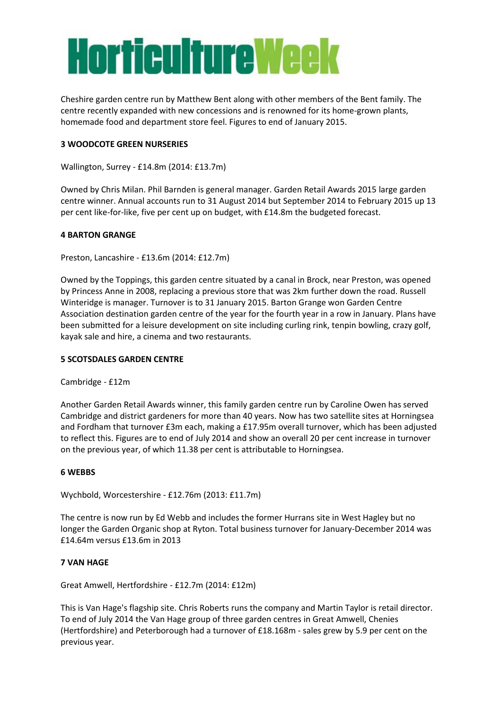# **Horticulture Week**

Cheshire garden centre run by Matthew Bent along with other members of the Bent family. The centre recently expanded with new concessions and is renowned for its home-grown plants, homemade food and department store feel. Figures to end of January 2015.

## **3 WOODCOTE GREEN NURSERIES**

Wallington, Surrey - £14.8m (2014: £13.7m)

Owned by Chris Milan. Phil Barnden is general manager. Garden Retail Awards 2015 large garden centre winner. Annual accounts run to 31 August 2014 but September 2014 to February 2015 up 13 per cent like-for-like, five per cent up on budget, with £14.8m the budgeted forecast.

#### **4 BARTON GRANGE**

Preston, Lancashire - £13.6m (2014: £12.7m)

Owned by the Toppings, this garden centre situated by a canal in Brock, near Preston, was opened by Princess Anne in 2008, replacing a previous store that was 2km further down the road. Russell Winteridge is manager. Turnover is to 31 January 2015. Barton Grange won Garden Centre Association destination garden centre of the year for the fourth year in a row in January. Plans have been submitted for a leisure development on site including curling rink, tenpin bowling, crazy golf, kayak sale and hire, a cinema and two restaurants.

#### **5 SCOTSDALES GARDEN CENTRE**

Cambridge - £12m

Another Garden Retail Awards winner, this family garden centre run by Caroline Owen has served Cambridge and district gardeners for more than 40 years. Now has two satellite sites at Horningsea and Fordham that turnover £3m each, making a £17.95m overall turnover, which has been adjusted to reflect this. Figures are to end of July 2014 and show an overall 20 per cent increase in turnover on the previous year, of which 11.38 per cent is attributable to Horningsea.

#### **6 WEBBS**

Wychbold, Worcestershire - £12.76m (2013: £11.7m)

The centre is now run by Ed Webb and includes the former Hurrans site in West Hagley but no longer the Garden Organic shop at Ryton. Total business turnover for January-December 2014 was £14.64m versus £13.6m in 2013

#### **7 VAN HAGE**

Great Amwell, Hertfordshire - £12.7m (2014: £12m)

This is Van Hage's flagship site. Chris Roberts runs the company and Martin Taylor is retail director. To end of July 2014 the Van Hage group of three garden centres in Great Amwell, Chenies (Hertfordshire) and Peterborough had a turnover of £18.168m - sales grew by 5.9 per cent on the previous year.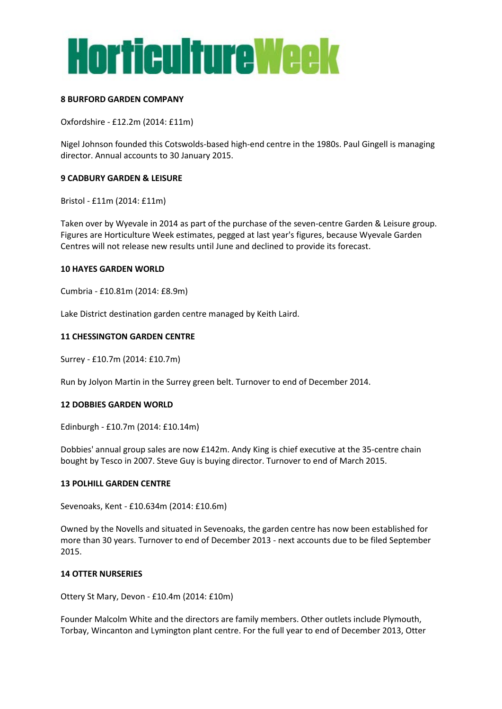

#### **8 BURFORD GARDEN COMPANY**

Oxfordshire - £12.2m (2014: £11m)

Nigel Johnson founded this Cotswolds-based high-end centre in the 1980s. Paul Gingell is managing director. Annual accounts to 30 January 2015.

#### **9 CADBURY GARDEN & LEISURE**

Bristol - £11m (2014: £11m)

Taken over by Wyevale in 2014 as part of the purchase of the seven-centre Garden & Leisure group. Figures are Horticulture Week estimates, pegged at last year's figures, because Wyevale Garden Centres will not release new results until June and declined to provide its forecast.

#### **10 HAYES GARDEN WORLD**

Cumbria - £10.81m (2014: £8.9m)

Lake District destination garden centre managed by Keith Laird.

#### **11 CHESSINGTON GARDEN CENTRE**

Surrey - £10.7m (2014: £10.7m)

Run by Jolyon Martin in the Surrey green belt. Turnover to end of December 2014.

#### **12 DOBBIES GARDEN WORLD**

Edinburgh - £10.7m (2014: £10.14m)

Dobbies' annual group sales are now £142m. Andy King is chief executive at the 35-centre chain bought by Tesco in 2007. Steve Guy is buying director. Turnover to end of March 2015.

#### **13 POLHILL GARDEN CENTRE**

Sevenoaks, Kent - £10.634m (2014: £10.6m)

Owned by the Novells and situated in Sevenoaks, the garden centre has now been established for more than 30 years. Turnover to end of December 2013 - next accounts due to be filed September 2015.

#### **14 OTTER NURSERIES**

Ottery St Mary, Devon - £10.4m (2014: £10m)

Founder Malcolm White and the directors are family members. Other outlets include Plymouth, Torbay, Wincanton and Lymington plant centre. For the full year to end of December 2013, Otter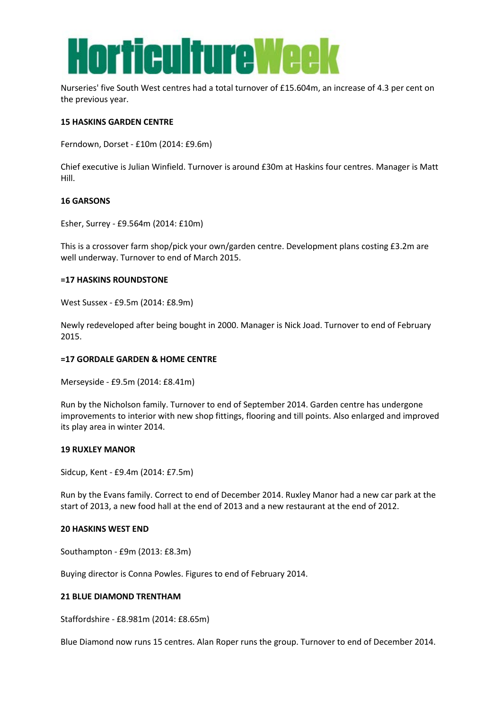

Nurseries' five South West centres had a total turnover of £15.604m, an increase of 4.3 per cent on the previous year.

#### **15 HASKINS GARDEN CENTRE**

Ferndown, Dorset - £10m (2014: £9.6m)

Chief executive is Julian Winfield. Turnover is around £30m at Haskins four centres. Manager is Matt Hill.

#### **16 GARSONS**

Esher, Surrey - £9.564m (2014: £10m)

This is a crossover farm shop/pick your own/garden centre. Development plans costing £3.2m are well underway. Turnover to end of March 2015.

#### **=17 HASKINS ROUNDSTONE**

West Sussex - £9.5m (2014: £8.9m)

Newly redeveloped after being bought in 2000. Manager is Nick Joad. Turnover to end of February 2015.

#### **=17 GORDALE GARDEN & HOME CENTRE**

Merseyside - £9.5m (2014: £8.41m)

Run by the Nicholson family. Turnover to end of September 2014. Garden centre has undergone improvements to interior with new shop fittings, flooring and till points. Also enlarged and improved its play area in winter 2014.

#### **19 RUXLEY MANOR**

Sidcup, Kent - £9.4m (2014: £7.5m)

Run by the Evans family. Correct to end of December 2014. Ruxley Manor had a new car park at the start of 2013, a new food hall at the end of 2013 and a new restaurant at the end of 2012.

#### **20 HASKINS WEST END**

Southampton - £9m (2013: £8.3m)

Buying director is Conna Powles. Figures to end of February 2014.

#### **21 BLUE DIAMOND TRENTHAM**

Staffordshire - £8.981m (2014: £8.65m)

Blue Diamond now runs 15 centres. Alan Roper runs the group. Turnover to end of December 2014.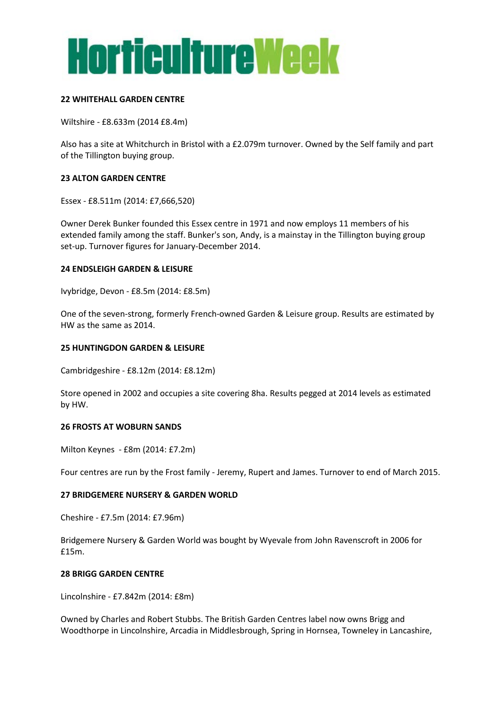

#### **22 WHITEHALL GARDEN CENTRE**

Wiltshire - £8.633m (2014 £8.4m)

Also has a site at Whitchurch in Bristol with a £2.079m turnover. Owned by the Self family and part of the Tillington buying group.

#### **23 ALTON GARDEN CENTRE**

Essex - £8.511m (2014: £7,666,520)

Owner Derek Bunker founded this Essex centre in 1971 and now employs 11 members of his extended family among the staff. Bunker's son, Andy, is a mainstay in the Tillington buying group set-up. Turnover figures for January-December 2014.

#### **24 ENDSLEIGH GARDEN & LEISURE**

Ivybridge, Devon - £8.5m (2014: £8.5m)

One of the seven-strong, formerly French-owned Garden & Leisure group. Results are estimated by HW as the same as 2014.

#### **25 HUNTINGDON GARDEN & LEISURE**

Cambridgeshire - £8.12m (2014: £8.12m)

Store opened in 2002 and occupies a site covering 8ha. Results pegged at 2014 levels as estimated by HW.

#### **26 FROSTS AT WOBURN SANDS**

Milton Keynes - £8m (2014: £7.2m)

Four centres are run by the Frost family - Jeremy, Rupert and James. Turnover to end of March 2015.

#### **27 BRIDGEMERE NURSERY & GARDEN WORLD**

Cheshire - £7.5m (2014: £7.96m)

Bridgemere Nursery & Garden World was bought by Wyevale from John Ravenscroft in 2006 for £15m.

#### **28 BRIGG GARDEN CENTRE**

Lincolnshire - £7.842m (2014: £8m)

Owned by Charles and Robert Stubbs. The British Garden Centres label now owns Brigg and Woodthorpe in Lincolnshire, Arcadia in Middlesbrough, Spring in Hornsea, Towneley in Lancashire,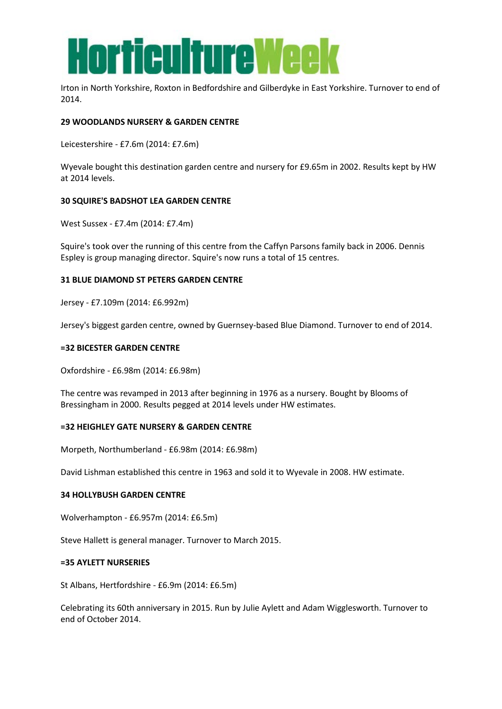

Irton in North Yorkshire, Roxton in Bedfordshire and Gilberdyke in East Yorkshire. Turnover to end of 2014.

#### **29 WOODLANDS NURSERY & GARDEN CENTRE**

Leicestershire - £7.6m (2014: £7.6m)

Wyevale bought this destination garden centre and nursery for £9.65m in 2002. Results kept by HW at 2014 levels.

#### **30 SQUIRE'S BADSHOT LEA GARDEN CENTRE**

West Sussex - £7.4m (2014: £7.4m)

Squire's took over the running of this centre from the Caffyn Parsons family back in 2006. Dennis Espley is group managing director. Squire's now runs a total of 15 centres.

#### **31 BLUE DIAMOND ST PETERS GARDEN CENTRE**

Jersey - £7.109m (2014: £6.992m)

Jersey's biggest garden centre, owned by Guernsey-based Blue Diamond. Turnover to end of 2014.

#### **=32 BICESTER GARDEN CENTRE**

Oxfordshire - £6.98m (2014: £6.98m)

The centre was revamped in 2013 after beginning in 1976 as a nursery. Bought by Blooms of Bressingham in 2000. Results pegged at 2014 levels under HW estimates.

#### **=32 HEIGHLEY GATE NURSERY & GARDEN CENTRE**

Morpeth, Northumberland - £6.98m (2014: £6.98m)

David Lishman established this centre in 1963 and sold it to Wyevale in 2008. HW estimate.

#### **34 HOLLYBUSH GARDEN CENTRE**

Wolverhampton - £6.957m (2014: £6.5m)

Steve Hallett is general manager. Turnover to March 2015.

#### **=35 AYLETT NURSERIES**

St Albans, Hertfordshire - £6.9m (2014: £6.5m)

Celebrating its 60th anniversary in 2015. Run by Julie Aylett and Adam Wigglesworth. Turnover to end of October 2014.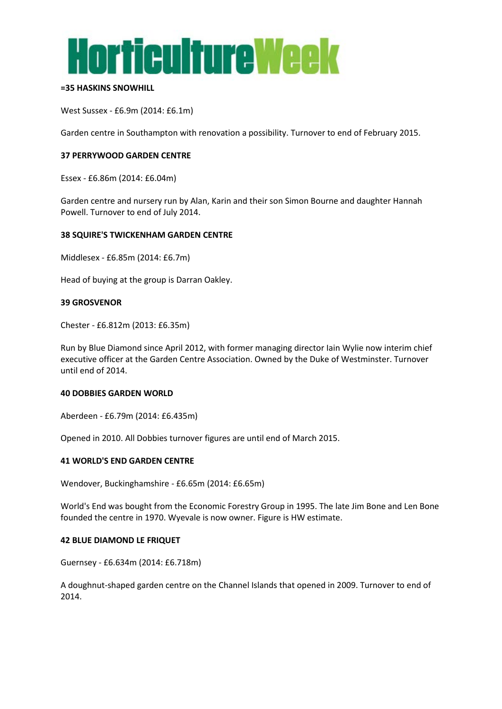

#### **=35 HASKINS SNOWHILL**

West Sussex - £6.9m (2014: £6.1m)

Garden centre in Southampton with renovation a possibility. Turnover to end of February 2015.

#### **37 PERRYWOOD GARDEN CENTRE**

Essex - £6.86m (2014: £6.04m)

Garden centre and nursery run by Alan, Karin and their son Simon Bourne and daughter Hannah Powell. Turnover to end of July 2014.

#### **38 SQUIRE'S TWICKENHAM GARDEN CENTRE**

Middlesex - £6.85m (2014: £6.7m)

Head of buying at the group is Darran Oakley.

#### **39 GROSVENOR**

Chester - £6.812m (2013: £6.35m)

Run by Blue Diamond since April 2012, with former managing director Iain Wylie now interim chief executive officer at the Garden Centre Association. Owned by the Duke of Westminster. Turnover until end of 2014.

#### **40 DOBBIES GARDEN WORLD**

Aberdeen - £6.79m (2014: £6.435m)

Opened in 2010. All Dobbies turnover figures are until end of March 2015.

#### **41 WORLD'S END GARDEN CENTRE**

Wendover, Buckinghamshire - £6.65m (2014: £6.65m)

World's End was bought from the Economic Forestry Group in 1995. The late Jim Bone and Len Bone founded the centre in 1970. Wyevale is now owner. Figure is HW estimate.

#### **42 BLUE DIAMOND LE FRIQUET**

Guernsey - £6.634m (2014: £6.718m)

A doughnut-shaped garden centre on the Channel Islands that opened in 2009. Turnover to end of 2014.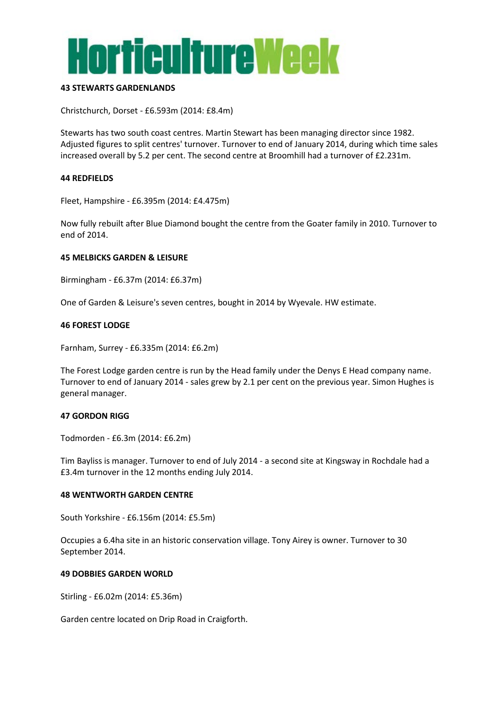

#### **43 STEWARTS GARDENLANDS**

Christchurch, Dorset - £6.593m (2014: £8.4m)

Stewarts has two south coast centres. Martin Stewart has been managing director since 1982. Adjusted figures to split centres' turnover. Turnover to end of January 2014, during which time sales increased overall by 5.2 per cent. The second centre at Broomhill had a turnover of £2.231m.

#### **44 REDFIELDS**

Fleet, Hampshire - £6.395m (2014: £4.475m)

Now fully rebuilt after Blue Diamond bought the centre from the Goater family in 2010. Turnover to end of 2014.

#### **45 MELBICKS GARDEN & LEISURE**

Birmingham - £6.37m (2014: £6.37m)

One of Garden & Leisure's seven centres, bought in 2014 by Wyevale. HW estimate.

#### **46 FOREST LODGE**

Farnham, Surrey - £6.335m (2014: £6.2m)

The Forest Lodge garden centre is run by the Head family under the Denys E Head company name. Turnover to end of January 2014 - sales grew by 2.1 per cent on the previous year. Simon Hughes is general manager.

#### **47 GORDON RIGG**

Todmorden - £6.3m (2014: £6.2m)

Tim Bayliss is manager. Turnover to end of July 2014 - a second site at Kingsway in Rochdale had a £3.4m turnover in the 12 months ending July 2014.

#### **48 WENTWORTH GARDEN CENTRE**

South Yorkshire - £6.156m (2014: £5.5m)

Occupies a 6.4ha site in an historic conservation village. Tony Airey is owner. Turnover to 30 September 2014.

#### **49 DOBBIES GARDEN WORLD**

Stirling - £6.02m (2014: £5.36m)

Garden centre located on Drip Road in Craigforth.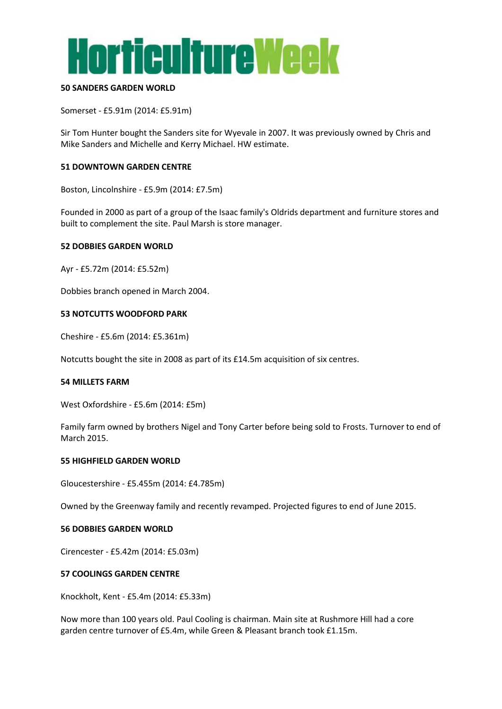

#### **50 SANDERS GARDEN WORLD**

Somerset - £5.91m (2014: £5.91m)

Sir Tom Hunter bought the Sanders site for Wyevale in 2007. It was previously owned by Chris and Mike Sanders and Michelle and Kerry Michael. HW estimate.

#### **51 DOWNTOWN GARDEN CENTRE**

Boston, Lincolnshire - £5.9m (2014: £7.5m)

Founded in 2000 as part of a group of the Isaac family's Oldrids department and furniture stores and built to complement the site. Paul Marsh is store manager.

#### **52 DOBBIES GARDEN WORLD**

Ayr - £5.72m (2014: £5.52m)

Dobbies branch opened in March 2004.

#### **53 NOTCUTTS WOODFORD PARK**

Cheshire - £5.6m (2014: £5.361m)

Notcutts bought the site in 2008 as part of its £14.5m acquisition of six centres.

#### **54 MILLETS FARM**

West Oxfordshire - £5.6m (2014: £5m)

Family farm owned by brothers Nigel and Tony Carter before being sold to Frosts. Turnover to end of March 2015.

#### **55 HIGHFIELD GARDEN WORLD**

Gloucestershire - £5.455m (2014: £4.785m)

Owned by the Greenway family and recently revamped. Projected figures to end of June 2015.

#### **56 DOBBIES GARDEN WORLD**

Cirencester - £5.42m (2014: £5.03m)

#### **57 COOLINGS GARDEN CENTRE**

Knockholt, Kent - £5.4m (2014: £5.33m)

Now more than 100 years old. Paul Cooling is chairman. Main site at Rushmore Hill had a core garden centre turnover of £5.4m, while Green & Pleasant branch took £1.15m.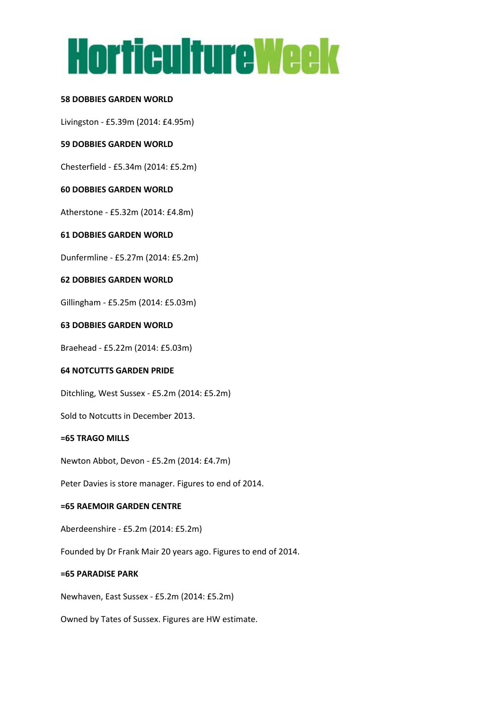# **Horticulture Week**

#### **58 DOBBIES GARDEN WORLD**

Livingston - £5.39m (2014: £4.95m)

#### **59 DOBBIES GARDEN WORLD**

Chesterfield - £5.34m (2014: £5.2m)

#### **60 DOBBIES GARDEN WORLD**

Atherstone - £5.32m (2014: £4.8m)

# **61 DOBBIES GARDEN WORLD**

Dunfermline - £5.27m (2014: £5.2m)

#### **62 DOBBIES GARDEN WORLD**

Gillingham - £5.25m (2014: £5.03m)

#### **63 DOBBIES GARDEN WORLD**

Braehead - £5.22m (2014: £5.03m)

#### **64 NOTCUTTS GARDEN PRIDE**

Ditchling, West Sussex - £5.2m (2014: £5.2m)

Sold to Notcutts in December 2013.

#### **=65 TRAGO MILLS**

Newton Abbot, Devon - £5.2m (2014: £4.7m)

Peter Davies is store manager. Figures to end of 2014.

#### **=65 RAEMOIR GARDEN CENTRE**

Aberdeenshire - £5.2m (2014: £5.2m)

Founded by Dr Frank Mair 20 years ago. Figures to end of 2014.

#### **=65 PARADISE PARK**

Newhaven, East Sussex - £5.2m (2014: £5.2m)

Owned by Tates of Sussex. Figures are HW estimate.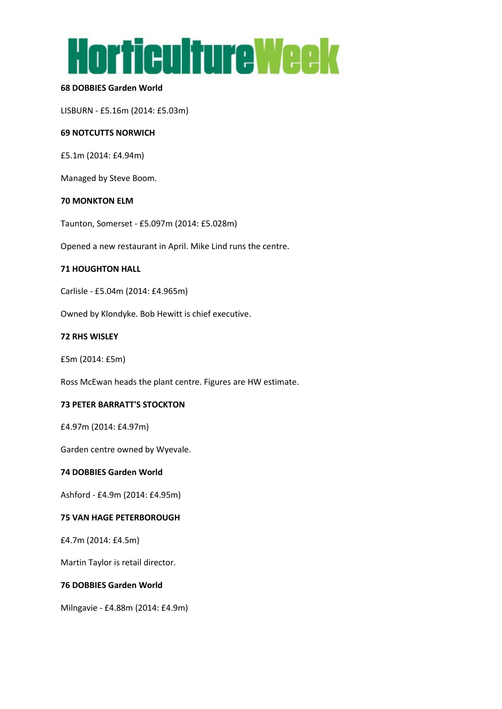

## **68 DOBBIES Garden World**

LISBURN - £5.16m (2014: £5.03m)

#### **69 NOTCUTTS NORWICH**

£5.1m (2014: £4.94m)

Managed by Steve Boom.

#### **70 MONKTON ELM**

Taunton, Somerset - £5.097m (2014: £5.028m)

Opened a new restaurant in April. Mike Lind runs the centre.

#### **71 HOUGHTON HALL**

Carlisle - £5.04m (2014: £4.965m)

Owned by Klondyke. Bob Hewitt is chief executive.

#### **72 RHS WISLEY**

£5m (2014: £5m)

Ross McEwan heads the plant centre. Figures are HW estimate.

#### **73 PETER BARRATT'S STOCKTON**

£4.97m (2014: £4.97m)

Garden centre owned by Wyevale.

#### **74 DOBBIES Garden World**

Ashford - £4.9m (2014: £4.95m)

#### **75 VAN HAGE PETERBOROUGH**

£4.7m (2014: £4.5m)

Martin Taylor is retail director.

# **76 DOBBIES Garden World**

Milngavie - £4.88m (2014: £4.9m)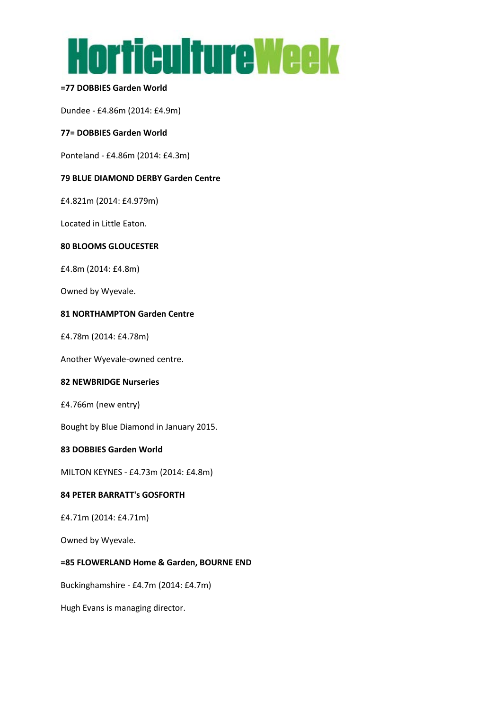

#### **=77 DOBBIES Garden World**

Dundee - £4.86m (2014: £4.9m)

#### **77= DOBBIES Garden World**

Ponteland - £4.86m (2014: £4.3m)

#### **79 BLUE DIAMOND DERBY Garden Centre**

£4.821m (2014: £4.979m)

Located in Little Eaton.

#### **80 BLOOMS GLOUCESTER**

£4.8m (2014: £4.8m)

Owned by Wyevale.

#### **81 NORTHAMPTON Garden Centre**

£4.78m (2014: £4.78m)

Another Wyevale-owned centre.

# **82 NEWBRIDGE Nurseries**

£4.766m (new entry)

Bought by Blue Diamond in January 2015.

#### **83 DOBBIES Garden World**

MILTON KEYNES - £4.73m (2014: £4.8m)

# **84 PETER BARRATT's GOSFORTH**

£4.71m (2014: £4.71m)

Owned by Wyevale.

#### **=85 FLOWERLAND Home & Garden, BOURNE END**

Buckinghamshire - £4.7m (2014: £4.7m)

Hugh Evans is managing director.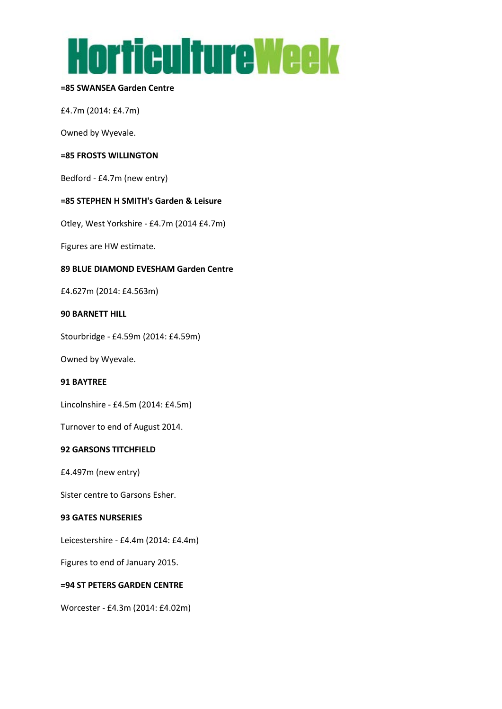

#### **=85 SWANSEA Garden Centre**

£4.7m (2014: £4.7m)

Owned by Wyevale.

#### **=85 FROSTS WILLINGTON**

Bedford - £4.7m (new entry)

#### **=85 STEPHEN H SMITH's Garden & Leisure**

Otley, West Yorkshire - £4.7m (2014 £4.7m)

Figures are HW estimate.

#### **89 BLUE DIAMOND EVESHAM Garden Centre**

£4.627m (2014: £4.563m)

#### **90 BARNETT HILL**

Stourbridge - £4.59m (2014: £4.59m)

Owned by Wyevale.

#### **91 BAYTREE**

Lincolnshire - £4.5m (2014: £4.5m)

Turnover to end of August 2014.

#### **92 GARSONS TITCHFIELD**

£4.497m (new entry)

Sister centre to Garsons Esher.

#### **93 GATES NURSERIES**

Leicestershire - £4.4m (2014: £4.4m)

Figures to end of January 2015.

# **=94 ST PETERS GARDEN CENTRE**

Worcester - £4.3m (2014: £4.02m)